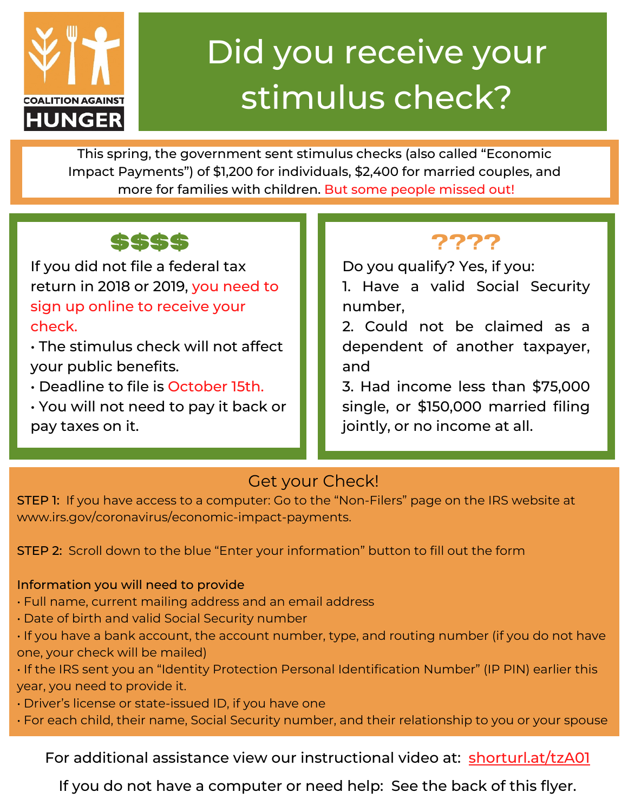

# Did you receive your stimulus check?

This spring, the government sent stimulus checks (also called "Economic Impact Payments") of \$1,200 for individuals, \$2,400 for married couples, and more for families with children. But some people missed out!

### **\$\$\$\$ ????**

If you did not file a federal tax return in 2018 or 2019, you need to sign up online to receive your check.

• The stimulus check will not affect your public benefits.

• Deadline to file is October 15th.

• You will not need to pay it back or pay taxes on it.

Do you qualify? Yes, if you:

1. Have a valid Social Security number,

2. Could not be claimed as a dependent of another taxpayer, and

3. Had income less than \$75,000 single, or \$150,000 married filing jointly, or no income at all.

#### Get your Check!

STEP 1: If you have access to a computer: Go to the "Non-Filers" page on the IRS website at www.irs.gov/coronavirus/economic-impact-payments.

STEP 2: Scroll down to the blue "Enter your information" button to fill out the form

#### Information you will need to provide

• Full name, current mailing address and an email address

• Date of birth and valid Social Security number

• If you have a bank account, the account number, type, and routing number (if you do not have one, your check will be mailed)

• If the IRS sent you an "Identity Protection Personal Identification Number" (IP PIN) earlier this year, you need to provide it.

• Driver's license or state-issued ID, if you have one

• For each child, their name, Social Security number, and their relationship to you or your spouse

For additional assistance view our instructional video at: [shorturl.at/tzA01](http://shorturl.at/tzA01)

If you do not have a computer or need help: See the back of this flyer.